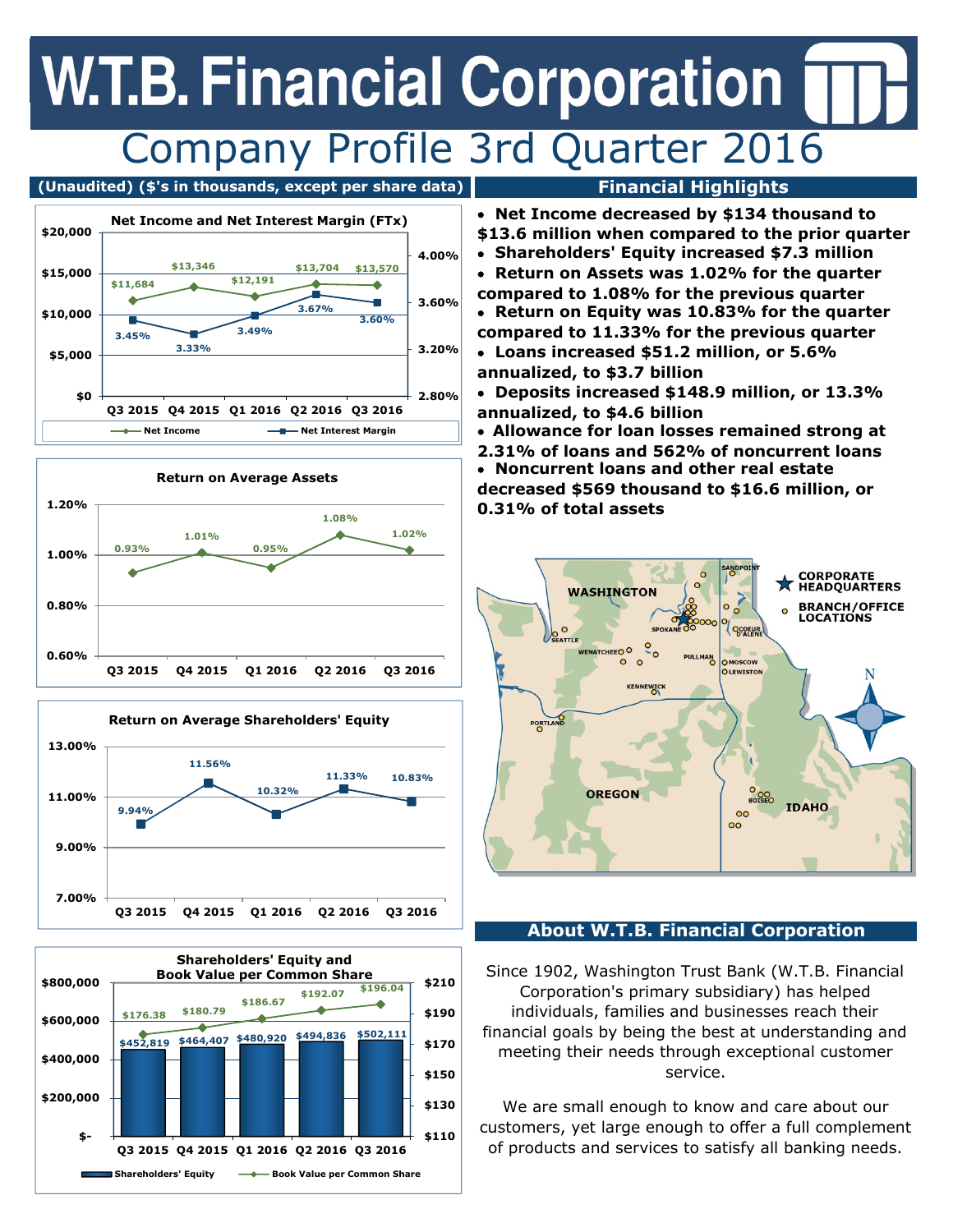## **W.T.B. Financial Corporation** Company Profile 3rd Quarter 2016











- **Net Income decreased by \$134 thousand to \$13.6 million when compared to the prior quarter**
- **Shareholders' Equity increased \$7.3 million**
- **Return on Assets was 1.02% for the quarter compared to 1.08% for the previous quarter**
- **Return on Equity was 10.83% for the quarter compared to 11.33% for the previous quarter**
- **Loans increased \$51.2 million, or 5.6% annualized, to \$3.7 billion**
- **Deposits increased \$148.9 million, or 13.3% annualized, to \$4.6 billion**
- **Allowance for loan losses remained strong at**
- **2.31% of loans and 562% of noncurrent loans**
- **Noncurrent loans and other real estate decreased \$569 thousand to \$16.6 million, or 0.31% of total assets**



### **About W.T.B. Financial Corporation**

Since 1902, Washington Trust Bank (W.T.B. Financial Corporation's primary subsidiary) has helped individuals, families and businesses reach their financial goals by being the best at understanding and meeting their needs through exceptional customer service.

We are small enough to know and care about our customers, yet large enough to offer a full complement of products and services to satisfy all banking needs.